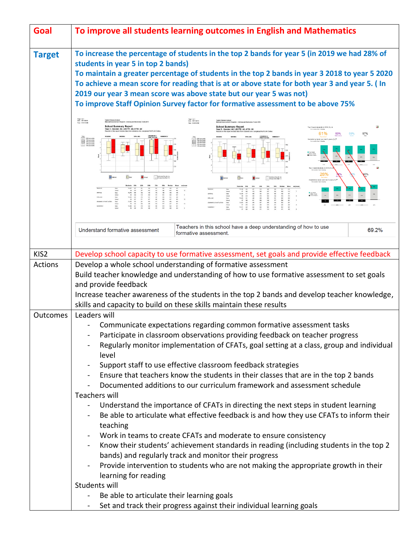| Goal           | To improve all students learning outcomes in English and Mathematics                                                                                                                                                                                                                                                                                                                                                                                                                                                                    |
|----------------|-----------------------------------------------------------------------------------------------------------------------------------------------------------------------------------------------------------------------------------------------------------------------------------------------------------------------------------------------------------------------------------------------------------------------------------------------------------------------------------------------------------------------------------------|
| <b>Target</b>  | To increase the percentage of students in the top 2 bands for year 5 (in 2019 we had 28% of<br>students in year 5 in top 2 bands)<br>To maintain a greater percentage of students in the top 2 bands in year 3 2018 to year 5 2020<br>To achieve a mean score for reading that is at or above state for both year 3 and year 5. (In<br>2019 our year 3 mean score was above state but our year 5 was not)<br>To improve Staff Opinion Survey factor for formative assessment to be above 75%                                            |
|                | Page 1 of 1<br>Date: 06/15/2010<br>Time: 8:35:13 AM<br>Tyabb Primary School<br><b>Inc. 03616AM</b><br><b>School Summary Report</b><br>School Summary Report<br>Year 6 - Gender: All, LBOTE: All, ATSI: All<br>op 2 band students in 2019 (%) +<br>ar 3 - Gender: All, LBOTE: All, ATSI: All<br>61%<br>57%<br>SPELLER<br><b>Carl Hill persons</b><br><b>Carl persons</b><br><b>Carl persons</b><br><b>Carl persons</b><br>This percenties<br>This percenties<br>This percenties<br>This percenties<br>This percenties<br>This percenties |
|                | 28%<br>udents by band over last 5 year<br><br>Mode 28 and                                                                                                                                                                                                                                                                                                                                                                                                                                                                               |
|                | Teachers in this school have a deep understanding of how to use<br>69.2%<br>Understand formative assessment<br>formative assessment.                                                                                                                                                                                                                                                                                                                                                                                                    |
| KIS2           | Develop school capacity to use formative assessment, set goals and provide effective feedback                                                                                                                                                                                                                                                                                                                                                                                                                                           |
| <b>Actions</b> | Develop a whole school understanding of formative assessment                                                                                                                                                                                                                                                                                                                                                                                                                                                                            |
|                | Build teacher knowledge and understanding of how to use formative assessment to set goals                                                                                                                                                                                                                                                                                                                                                                                                                                               |
|                | and provide feedback                                                                                                                                                                                                                                                                                                                                                                                                                                                                                                                    |
|                | Increase teacher awareness of the students in the top 2 bands and develop teacher knowledge,                                                                                                                                                                                                                                                                                                                                                                                                                                            |
|                | skills and capacity to build on these skills maintain these results                                                                                                                                                                                                                                                                                                                                                                                                                                                                     |
| Outcomes       | Leaders will<br>Communicate expectations regarding common formative assessment tasks                                                                                                                                                                                                                                                                                                                                                                                                                                                    |
|                | Participate in classroom observations providing feedback on teacher progress                                                                                                                                                                                                                                                                                                                                                                                                                                                            |
|                | Regularly monitor implementation of CFATs, goal setting at a class, group and individual<br>level                                                                                                                                                                                                                                                                                                                                                                                                                                       |
|                | Support staff to use effective classroom feedback strategies                                                                                                                                                                                                                                                                                                                                                                                                                                                                            |
|                | Ensure that teachers know the students in their classes that are in the top 2 bands                                                                                                                                                                                                                                                                                                                                                                                                                                                     |
|                | Documented additions to our curriculum framework and assessment schedule                                                                                                                                                                                                                                                                                                                                                                                                                                                                |
|                | Teachers will                                                                                                                                                                                                                                                                                                                                                                                                                                                                                                                           |
|                | Understand the importance of CFATs in directing the next steps in student learning<br>Be able to articulate what effective feedback is and how they use CFATs to inform their                                                                                                                                                                                                                                                                                                                                                           |
|                | teaching                                                                                                                                                                                                                                                                                                                                                                                                                                                                                                                                |
|                | Work in teams to create CFATs and moderate to ensure consistency                                                                                                                                                                                                                                                                                                                                                                                                                                                                        |
|                | Know their students' achievement standards in reading (including students in the top 2                                                                                                                                                                                                                                                                                                                                                                                                                                                  |
|                | bands) and regularly track and monitor their progress                                                                                                                                                                                                                                                                                                                                                                                                                                                                                   |
|                | Provide intervention to students who are not making the appropriate growth in their<br>learning for reading                                                                                                                                                                                                                                                                                                                                                                                                                             |
|                | Students will                                                                                                                                                                                                                                                                                                                                                                                                                                                                                                                           |
|                | Be able to articulate their learning goals<br>$\overline{\phantom{a}}$                                                                                                                                                                                                                                                                                                                                                                                                                                                                  |
|                | Set and track their progress against their individual learning goals                                                                                                                                                                                                                                                                                                                                                                                                                                                                    |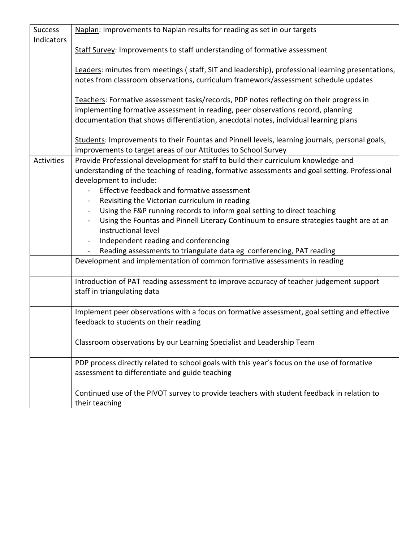| <b>Success</b> | Naplan: Improvements to Naplan results for reading as set in our targets                         |
|----------------|--------------------------------------------------------------------------------------------------|
| Indicators     |                                                                                                  |
|                | Staff Survey: Improvements to staff understanding of formative assessment                        |
|                |                                                                                                  |
|                | Leaders: minutes from meetings (staff, SIT and leadership), professional learning presentations, |
|                | notes from classroom observations, curriculum framework/assessment schedule updates              |
|                |                                                                                                  |
|                | Teachers: Formative assessment tasks/records, PDP notes reflecting on their progress in          |
|                | implementing formative assessment in reading, peer observations record, planning                 |
|                | documentation that shows differentiation, anecdotal notes, individual learning plans             |
|                | Students: Improvements to their Fountas and Pinnell levels, learning journals, personal goals,   |
|                | improvements to target areas of our Attitudes to School Survey                                   |
| Activities     | Provide Professional development for staff to build their curriculum knowledge and               |
|                | understanding of the teaching of reading, formative assessments and goal setting. Professional   |
|                | development to include:                                                                          |
|                | Effective feedback and formative assessment                                                      |
|                | Revisiting the Victorian curriculum in reading                                                   |
|                | Using the F&P running records to inform goal setting to direct teaching<br>$\blacksquare$        |
|                | Using the Fountas and Pinnell Literacy Continuum to ensure strategies taught are at an           |
|                | instructional level                                                                              |
|                | Independent reading and conferencing                                                             |
|                | Reading assessments to triangulate data eg conferencing, PAT reading                             |
|                | Development and implementation of common formative assessments in reading                        |
|                |                                                                                                  |
|                | Introduction of PAT reading assessment to improve accuracy of teacher judgement support          |
|                | staff in triangulating data                                                                      |
|                |                                                                                                  |
|                | Implement peer observations with a focus on formative assessment, goal setting and effective     |
|                | feedback to students on their reading                                                            |
|                |                                                                                                  |
|                | Classroom observations by our Learning Specialist and Leadership Team                            |
|                |                                                                                                  |
|                | PDP process directly related to school goals with this year's focus on the use of formative      |
|                | assessment to differentiate and guide teaching                                                   |
|                |                                                                                                  |
|                | Continued use of the PIVOT survey to provide teachers with student feedback in relation to       |
|                | their teaching                                                                                   |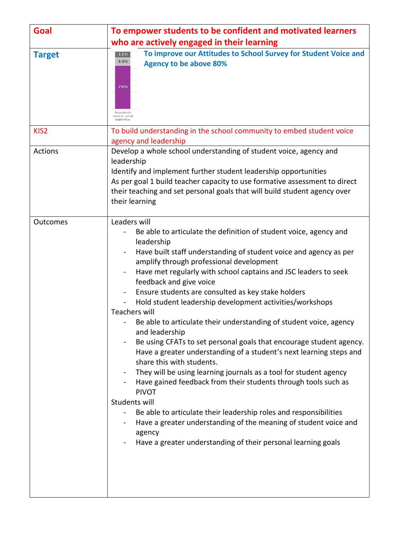| Goal             | To empower students to be confident and motivated learners                                                                                                                                                                                                                                                                                                                                                                                                                                                                                                                                                                                                                                                                                                                                                                                                                                                                                                                                                                                                                                                              |
|------------------|-------------------------------------------------------------------------------------------------------------------------------------------------------------------------------------------------------------------------------------------------------------------------------------------------------------------------------------------------------------------------------------------------------------------------------------------------------------------------------------------------------------------------------------------------------------------------------------------------------------------------------------------------------------------------------------------------------------------------------------------------------------------------------------------------------------------------------------------------------------------------------------------------------------------------------------------------------------------------------------------------------------------------------------------------------------------------------------------------------------------------|
|                  | who are actively engaged in their learning                                                                                                                                                                                                                                                                                                                                                                                                                                                                                                                                                                                                                                                                                                                                                                                                                                                                                                                                                                                                                                                                              |
| <b>Target</b>    | To improve our Attitudes to School Survey for Student Voice and<br>11%<br>13%<br><b>Agency to be above 80%</b><br>76%<br>Student<br>voice and<br>agency                                                                                                                                                                                                                                                                                                                                                                                                                                                                                                                                                                                                                                                                                                                                                                                                                                                                                                                                                                 |
| KIS <sub>2</sub> | To build understanding in the school community to embed student voice<br>agency and leadership                                                                                                                                                                                                                                                                                                                                                                                                                                                                                                                                                                                                                                                                                                                                                                                                                                                                                                                                                                                                                          |
| <b>Actions</b>   | Develop a whole school understanding of student voice, agency and<br>leadership<br>Identify and implement further student leadership opportunities<br>As per goal 1 build teacher capacity to use formative assessment to direct<br>their teaching and set personal goals that will build student agency over<br>their learning                                                                                                                                                                                                                                                                                                                                                                                                                                                                                                                                                                                                                                                                                                                                                                                         |
| Outcomes         | Leaders will<br>Be able to articulate the definition of student voice, agency and<br>leadership<br>Have built staff understanding of student voice and agency as per<br>amplify through professional development<br>Have met regularly with school captains and JSC leaders to seek<br>feedback and give voice<br>Ensure students are consulted as key stake holders<br>Hold student leadership development activities/workshops<br><b>Teachers will</b><br>Be able to articulate their understanding of student voice, agency<br>and leadership<br>Be using CFATs to set personal goals that encourage student agency.<br>Have a greater understanding of a student's next learning steps and<br>share this with students.<br>They will be using learning journals as a tool for student agency<br>Have gained feedback from their students through tools such as<br><b>PIVOT</b><br>Students will<br>Be able to articulate their leadership roles and responsibilities<br>Have a greater understanding of the meaning of student voice and<br>agency<br>Have a greater understanding of their personal learning goals |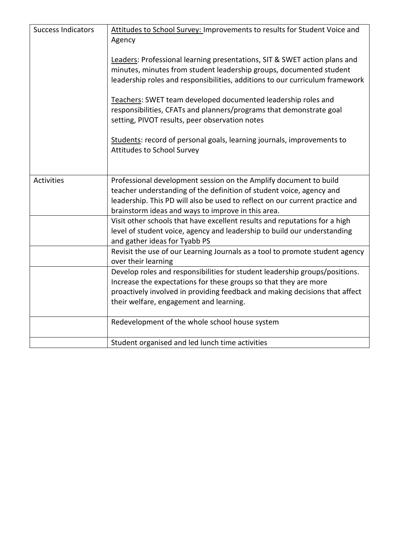| <b>Success Indicators</b> | Attitudes to School Survey: Improvements to results for Student Voice and<br>Agency<br>Leaders: Professional learning presentations, SIT & SWET action plans and<br>minutes, minutes from student leadership groups, documented student<br>leadership roles and responsibilities, additions to our curriculum framework<br>Teachers: SWET team developed documented leadership roles and<br>responsibilities, CFATs and planners/programs that demonstrate goal<br>setting, PIVOT results, peer observation notes<br>Students: record of personal goals, learning journals, improvements to<br>Attitudes to School Survey |
|---------------------------|---------------------------------------------------------------------------------------------------------------------------------------------------------------------------------------------------------------------------------------------------------------------------------------------------------------------------------------------------------------------------------------------------------------------------------------------------------------------------------------------------------------------------------------------------------------------------------------------------------------------------|
| <b>Activities</b>         | Professional development session on the Amplify document to build<br>teacher understanding of the definition of student voice, agency and<br>leadership. This PD will also be used to reflect on our current practice and<br>brainstorm ideas and ways to improve in this area.                                                                                                                                                                                                                                                                                                                                           |
|                           | Visit other schools that have excellent results and reputations for a high<br>level of student voice, agency and leadership to build our understanding<br>and gather ideas for Tyabb PS                                                                                                                                                                                                                                                                                                                                                                                                                                   |
|                           | Revisit the use of our Learning Journals as a tool to promote student agency<br>over their learning                                                                                                                                                                                                                                                                                                                                                                                                                                                                                                                       |
|                           | Develop roles and responsibilities for student leadership groups/positions.<br>Increase the expectations for these groups so that they are more<br>proactively involved in providing feedback and making decisions that affect<br>their welfare, engagement and learning.                                                                                                                                                                                                                                                                                                                                                 |
|                           | Redevelopment of the whole school house system                                                                                                                                                                                                                                                                                                                                                                                                                                                                                                                                                                            |
|                           | Student organised and led lunch time activities                                                                                                                                                                                                                                                                                                                                                                                                                                                                                                                                                                           |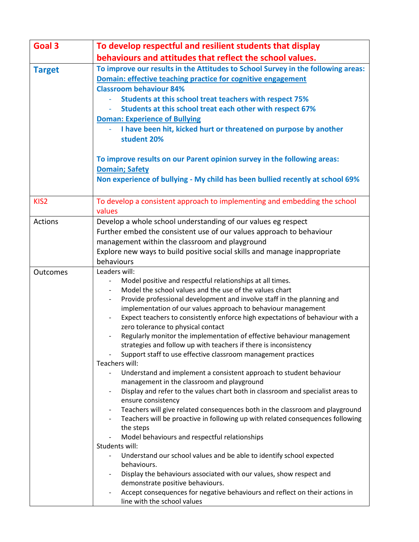| Goal 3           | To develop respectful and resilient students that display                                                                                                                                                                                                                                                                                                                                                                                                                                                                                                                                                                                                                                                                                                                                                                                                                                                                                                                                                                                                                                                                                                                                                                                                                                                                                                                                                                                                                                        |
|------------------|--------------------------------------------------------------------------------------------------------------------------------------------------------------------------------------------------------------------------------------------------------------------------------------------------------------------------------------------------------------------------------------------------------------------------------------------------------------------------------------------------------------------------------------------------------------------------------------------------------------------------------------------------------------------------------------------------------------------------------------------------------------------------------------------------------------------------------------------------------------------------------------------------------------------------------------------------------------------------------------------------------------------------------------------------------------------------------------------------------------------------------------------------------------------------------------------------------------------------------------------------------------------------------------------------------------------------------------------------------------------------------------------------------------------------------------------------------------------------------------------------|
|                  | behaviours and attitudes that reflect the school values.                                                                                                                                                                                                                                                                                                                                                                                                                                                                                                                                                                                                                                                                                                                                                                                                                                                                                                                                                                                                                                                                                                                                                                                                                                                                                                                                                                                                                                         |
| <b>Target</b>    | To improve our results in the Attitudes to School Survey in the following areas:<br>Domain: effective teaching practice for cognitive engagement<br><b>Classroom behaviour 84%</b><br>Students at this school treat teachers with respect 75%<br>Students at this school treat each other with respect 67%<br><b>Doman: Experience of Bullying</b><br>I have been hit, kicked hurt or threatened on purpose by another<br>student 20%<br>To improve results on our Parent opinion survey in the following areas:<br><b>Domain; Safety</b>                                                                                                                                                                                                                                                                                                                                                                                                                                                                                                                                                                                                                                                                                                                                                                                                                                                                                                                                                        |
|                  | Non experience of bullying - My child has been bullied recently at school 69%                                                                                                                                                                                                                                                                                                                                                                                                                                                                                                                                                                                                                                                                                                                                                                                                                                                                                                                                                                                                                                                                                                                                                                                                                                                                                                                                                                                                                    |
| KIS <sub>2</sub> | To develop a consistent approach to implementing and embedding the school<br>values                                                                                                                                                                                                                                                                                                                                                                                                                                                                                                                                                                                                                                                                                                                                                                                                                                                                                                                                                                                                                                                                                                                                                                                                                                                                                                                                                                                                              |
| <b>Actions</b>   | Develop a whole school understanding of our values eg respect<br>Further embed the consistent use of our values approach to behaviour<br>management within the classroom and playground<br>Explore new ways to build positive social skills and manage inappropriate<br>behaviours                                                                                                                                                                                                                                                                                                                                                                                                                                                                                                                                                                                                                                                                                                                                                                                                                                                                                                                                                                                                                                                                                                                                                                                                               |
| <b>Outcomes</b>  | Leaders will:<br>Model positive and respectful relationships at all times.<br>Model the school values and the use of the values chart<br>Provide professional development and involve staff in the planning and<br>$\overline{\phantom{a}}$<br>implementation of our values approach to behaviour management<br>Expect teachers to consistently enforce high expectations of behaviour with a<br>zero tolerance to physical contact<br>Regularly monitor the implementation of effective behaviour management<br>strategies and follow up with teachers if there is inconsistency<br>Support staff to use effective classroom management practices<br>Teachers will:<br>Understand and implement a consistent approach to student behaviour<br>management in the classroom and playground<br>Display and refer to the values chart both in classroom and specialist areas to<br>ensure consistency<br>Teachers will give related consequences both in the classroom and playground<br>$\overline{\phantom{a}}$<br>Teachers will be proactive in following up with related consequences following<br>the steps<br>Model behaviours and respectful relationships<br>Students will:<br>Understand our school values and be able to identify school expected<br>behaviours.<br>Display the behaviours associated with our values, show respect and<br>demonstrate positive behaviours.<br>Accept consequences for negative behaviours and reflect on their actions in<br>line with the school values |